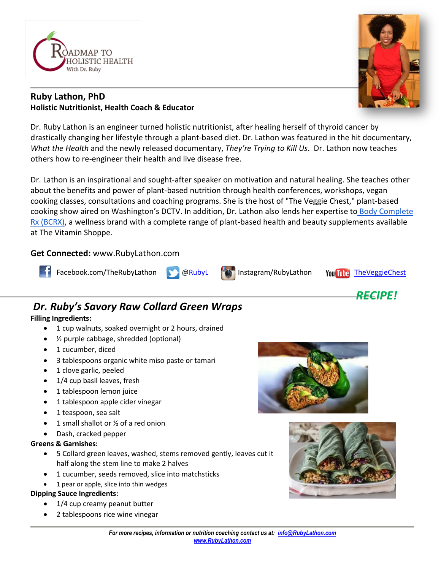

# **Ruby Lathon, PhD Holistic Nutritionist, Health Coach & Educator**

Dr. Ruby Lathon is an engineer turned holistic nutritionist, after healing herself of thyroid cancer by drastically changing her lifestyle through a plant-based diet. Dr. Lathon was featured in the hit documentary, *What the Health* and the newly released documentary, *They're Trying to Kill Us*. Dr. Lathon now teaches others how to re-engineer their health and live disease free.

Dr. Lathon is an inspirational and sought-after speaker on motivation and natural healing. She teaches other about the benefits and power of plant-based nutrition through health conferences, workshops, vegan cooking classes, consultations and coaching programs. She is the host of "The Veggie Chest," plant-based cooking show aired on Washington's DCTV. In addition, Dr. Lathon also lends her expertise to [Body Complete](https://bodycompleterx.com/)  [Rx \(BCRX\),](https://bodycompleterx.com/) a wellness brand with a complete range of plant-based health and beauty supplements available at The Vitamin Shoppe.

## **Get Connected:** www.RubyLathon.com





# *Dr. Ruby's Savory Raw Collard Green Wraps*

### **Filling Ingredients:**

- 1 cup walnuts, soaked overnight or 2 hours, drained
- ½ purple cabbage, shredded (optional)
- 1 cucumber, diced
- 3 tablespoons organic white miso paste or tamari
- 1 clove garlic, peeled
- 1/4 cup basil leaves, fresh
- 1 tablespoon lemon juice
- 1 tablespoon apple cider vinegar
- 1 teaspoon, sea salt
- 1 small shallot or  $\frac{1}{2}$  of a red onion
- Dash, cracked pepper

#### **Greens & Garnishes:**

- 5 Collard green leaves, washed, stems removed gently, leaves cut it half along the stem line to make 2 halves
- 1 cucumber, seeds removed, slice into matchsticks
- 1 pear or apple, slice into thin wedges

#### **Dipping Sauce Ingredients:**

- 1/4 cup creamy peanut butter
- 2 tablespoons rice wine vinegar